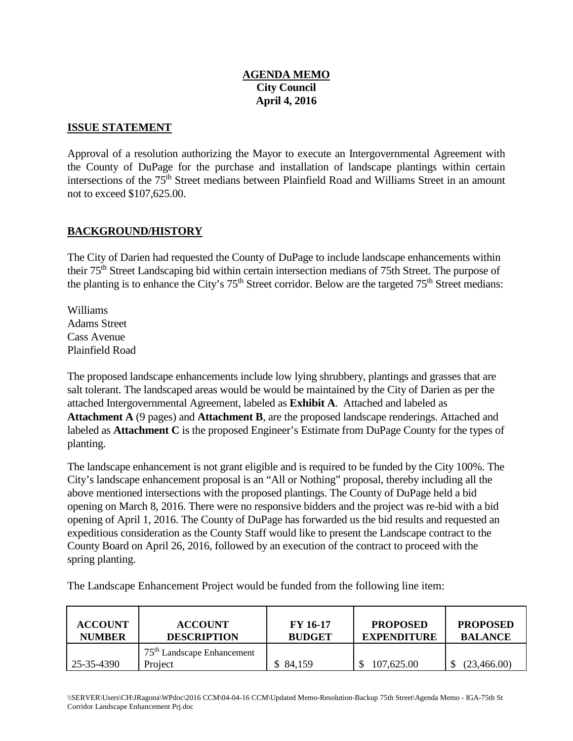# **April 4, 2016 AGENDA MEMO City Council**

#### **ISSUE STATEMENT**

 Approval of a resolution authorizing the Mayor to execute an Intergovernmental Agreement with the County of DuPage for the purchase and installation of landscape plantings within certain intersections of the 75<sup>th</sup> Street medians between Plainfield Road and Williams Street in an amount not to exceed \$107,625.00.

### **BACKGROUND/HISTORY**

The City of Darien had requested the County of DuPage to include landscape enhancements within their 75th Street Landscaping bid within certain intersection medians of 75th Street. The purpose of the planting is to enhance the City's  $75<sup>th</sup>$  Street corridor. Below are the targeted  $75<sup>th</sup>$  Street medians:

Williams Adams Street Cass Avenue Plainfield Road

 labeled as **Attachment C** is the proposed Engineer's Estimate from DuPage County for the types of planting. The proposed landscape enhancements include low lying shrubbery, plantings and grasses that are salt tolerant. The landscaped areas would be would be maintained by the City of Darien as per the attached Intergovernmental Agreement, labeled as **Exhibit A**. Attached and labeled as **Attachment A** (9 pages) and **Attachment B**, are the proposed landscape renderings. Attached and

The landscape enhancement is not grant eligible and is required to be funded by the City 100%. The City's landscape enhancement proposal is an "All or Nothing" proposal, thereby including all the above mentioned intersections with the proposed plantings. The County of DuPage held a bid opening on March 8, 2016. There were no responsive bidders and the project was re-bid with a bid opening of April 1, 2016. The County of DuPage has forwarded us the bid results and requested an expeditious consideration as the County Staff would like to present the Landscape contract to the County Board on April 26, 2016, followed by an execution of the contract to proceed with the spring planting.

The Landscape Enhancement Project would be funded from the following line item:

| <b>ACCOUNT</b> | <b>ACCOUNT</b>                          | <b>FY 16-17</b> | <b>PROPOSED</b>    | <b>PROPOSED</b> |
|----------------|-----------------------------------------|-----------------|--------------------|-----------------|
| <b>NUMBER</b>  | <b>DESCRIPTION</b>                      | <b>BUDGET</b>   | <b>EXPENDITURE</b> | <b>BALANCE</b>  |
| 25-35-4390     | $75th$ Landscape Enhancement<br>Project | \$84,159        | 107,625.00         | (23,466.00)     |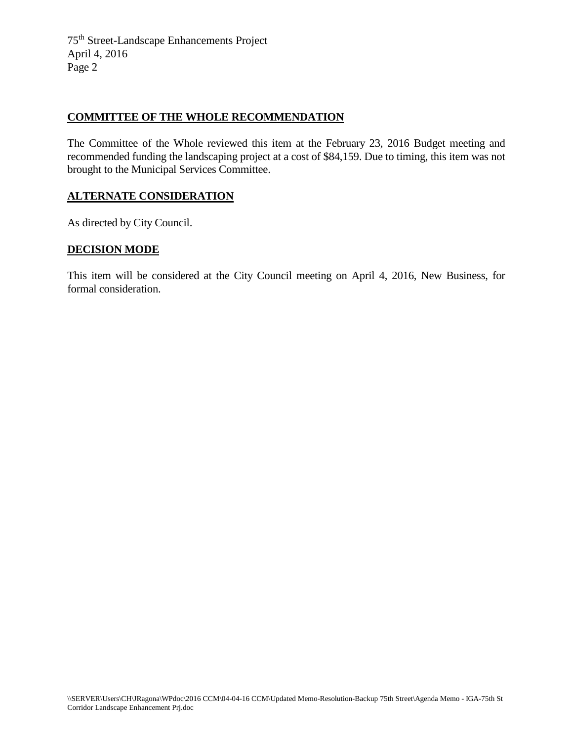75th Street-Landscape Enhancements Project April 4, 2016 Page 2

#### **COMMITTEE OF THE WHOLE RECOMMENDATION**

 The Committee of the Whole reviewed this item at the February 23, 2016 Budget meeting and recommended funding the landscaping project at a cost of \$84,159. Due to timing, this item was not brought to the Municipal Services Committee.

#### **ALTERNATE CONSIDERATION**

As directed by City Council.

#### **DECISION MODE**

 This item will be considered at the City Council meeting on April 4, 2016, New Business, for formal consideration. formal consideration.<br>- \SERVER\Users\CH\Ragona\WPdoc\2016 CCM\04-04-16 CCM\Updated Memo-Resolution-Backup 75th Street\Agenda Memo - IGA-75th St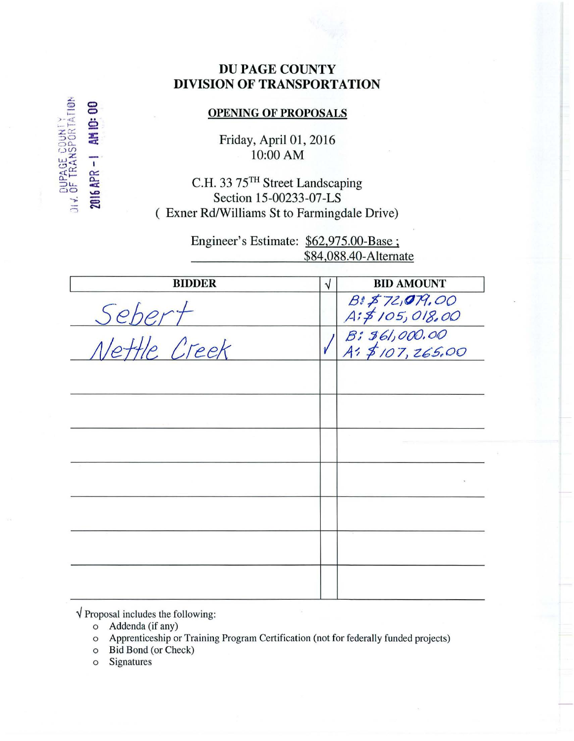# **DU PAGE COUNTY DIVISION OF TRANSPORTATION**

# **OPENING OF PROPOSALS**

Friday, April 01, 2016 10:00 AM

C.H. 33 75TH Street Landscaping Section 15-00233-07-LS (Exner Rd/Williams St to Farmingdale Drive)

> Engineer's Estimate: \$62,975.00-Base; \$84,088.40-Alternate

| <b>BIDDER</b> | V | <b>BID AMOUNT</b>                   |
|---------------|---|-------------------------------------|
| Sebert        |   | B& \$72,079,00<br>A: \$105,018,00   |
| Nettle Creek  |   | $B: 361,000.00$<br>A: \$107, 265.00 |
|               |   |                                     |
|               |   |                                     |
|               |   |                                     |
|               |   |                                     |
|               |   |                                     |
|               |   |                                     |
|               |   |                                     |

 $\sqrt{\frac{1}{2}}$  Proposal includes the following:

- o Addenda (if any)
- Apprenticeship or Training Program Certification (not for federally funded projects)  $\circ$
- o Bid Bond (or Check)
- Signatures  $\circ$

AGE COUNTY<br>TRANSPORTATION

2016 APR -1 AM IO: 00